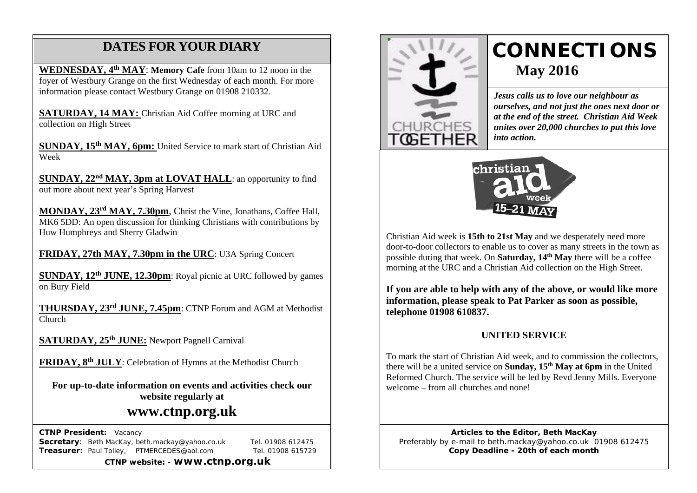# **DATES FOR YOUR DIARY**

**WEDNESDAY, 4th MAY**: **Memory Cafe** from 10am to 12 noon in the foyer of Westbury Grange on the first Wednesday of each month. For more information please contact Westbury Grange on 01908 210332.

 collection on High Street **SATURDAY, 14 MAY:** Christian Aid Coffee morning at URC and

**SUNDAY, 15th MAY, 6pm:** United Service to mark start of Christian Aid Week

**SUNDAY, 22nd MAY, 3pm at LOVAT HALL**: an opportunity to find out more about next year's Spring Harvest

**MONDAY, 23rd MAY, 7.30pm**, Christ the Vine, Jonathans, Coffee Hall, MK6 5DD: An open discussion for thinking Christians with contributions by Huw Humphreys and Sherry Gladwin

**FRIDAY, 27th MAY, 7.30pm in the URC**: U3A Spring Concert

**SUNDAY, 12th JUNE, 12.30pm**: Royal picnic at URC followed by games on Bury Field

**THURSDAY, 23rd JUNE, 7.45pm**: CTNP Forum and AGM at Methodist Church

**SATURDAY, 25th JUNE:** Newport Pagnell Carnival

**FRIDAY, 8th JULY**: Celebration of Hymns at the Methodist Church

**For up-to-date information on events and activities check our website regularly at www.ctnp.org.uk**

 **CTNP President:** Vacancy

**Secretary**: Beth MacKay, beth.mackay@yahoo.co.uk Tel. 01908 612475 **Treasurer:** Paul Tolley, PTMERCEDES@aol.com Tel. 01908 615729

**CTNP website: - www.ctnp.org.uk**



# **CONNECTIONS May 2016**

*Jesus calls us to love our neighbour as ourselves, and not just the ones next door or at the end of the street. Christian Aid Week unites over 20,000 churches to put this love into action.*



Christian Aid week is **15th to 21st May** and we desperately need more door-to-door collectors to enable us to cover as many streets in the town as possible during that week. On **Saturday, 14th May** there will be a coffee morning at the URC and a Christian Aid collection on the High Street.

**If you are able to help with any of the above, or would like more information, please speak to Pat Parker as soon as possible, telephone 01908 610837.**

# **UNITED SERVICE**

To mark the start of Christian Aid week, and to commission the collectors, there will be a united service on **Sunday, 15th May at 6pm** in the United Reformed Church. The service will be led by Revd Jenny Mills. Everyone welcome – from all churches and none!

**Articles to the Editor, Beth MacKay** Preferably by e-mail to beth.mackay@yahoo.co.uk 01908 612475 **Copy Deadline - 20th of each month**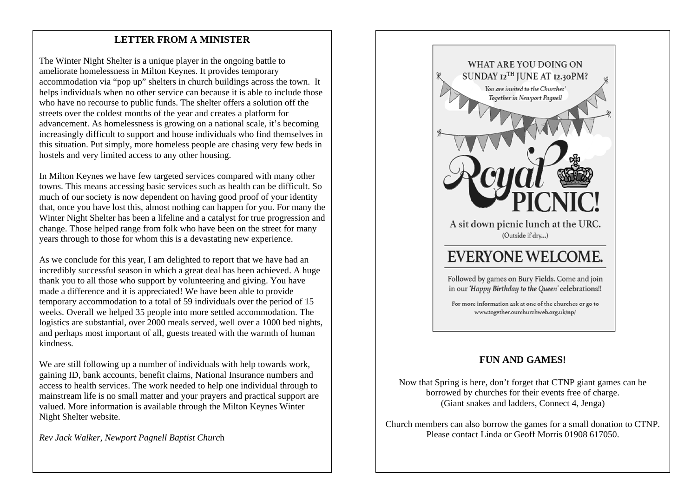### mee **LETTER FROM A MINISTER**

The Winter Night Shelter is a unique player in the ongoing battle to ameliorate homelessness in Milton Keynes. It provides temporary accommodation via "pop up" shelters in church buildings across the town. It helps individuals when no other service can because it is able to include those who have no recourse to public funds. The shelter offers a solution off the streets over the coldest months of the year and creates a platform for advancement. As homelessness is growing on a national scale, it's becoming increasingly difficult to support and house individuals who find themselves in this situation. Put simply, more homeless people are chasing very few beds in hostels and very limited access to any other housing.

In Milton Keynes we have few targeted services compared with many other towns. This means accessing basic services such as health can be difficult. So much of our society is now dependent on having good proof of your identity that, once you have lost this, almost nothing can happen for you. For many the Winter Night Shelter has been a lifeline and a catalyst for true progression and change. Those helped range from folk who have been on the street for many years through to those for whom this is a devastating new experience.

As we conclude for this year, I am delighted to report that we have had an incredibly successful season in which a great deal has been achieved. A huge thank you to all those who support by volunteering and giving. You have made a difference and it is appreciated! We have been able to provide temporary accommodation to a total of 59 individuals over the period of 15 weeks. Overall we helped 35 people into more settled accommodation. The logistics are substantial, over 2000 meals served, well over a 1000 bed nights, and perhaps most important of all, guests treated with the warmth of human kindness.

We are still following up a number of individuals with help towards work, gaining ID, bank accounts, benefit claims, National Insurance numbers and access to health services. The work needed to help one individual through to mainstream life is no small matter and your prayers and practical support are valued. More information is available through the Milton Keynes Winter Night Shelter website.

*Rev Jack Walker, Newport Pagnell Baptist Churc*h



#### **FUN AND GAMES!**

Now that Spring is here, don't forget that CTNP giant games can be borrowed by churches for their events free of charge. (Giant snakes and ladders, Connect 4, Jenga)

Church members can also borrow the games for a small donation to CTNP. Please contact Linda or Geoff Morris 01908 617050.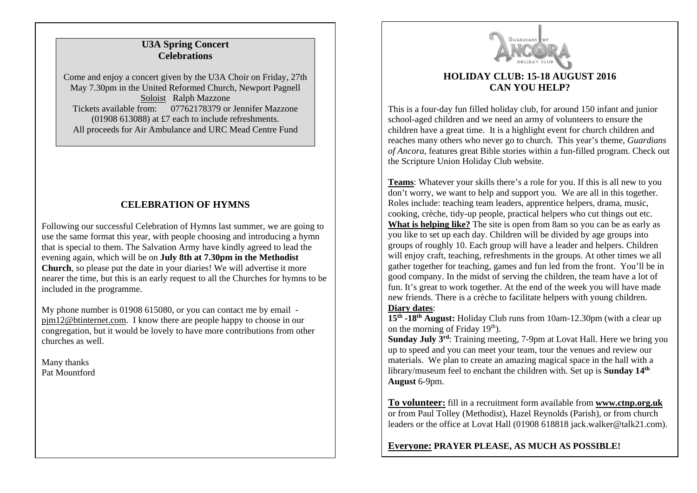#### **U3A Spring Concert Celebrations**

Come and enjoy a concert given by the U3A Choir on Friday, 27th May 7.30pm in the United Reformed Church, Newport Pagnell Soloist Ralph Mazzone Tickets available from: 07762178379 or Jennifer Mazzone (01908 613088) at £7 each to include refreshments. All proceeds for Air Ambulance and URC Mead Centre Fund

# **CELEBRATION OF HYMNS**

Following our successful Celebration of Hymns last summer, we are going to use the same format this year, with people choosing and introducing a hymn that is special to them. The Salvation Army have kindly agreed to lead the evening again, which will be on **July 8th at 7.30pm in the Methodist Church**, so please put the date in your diaries! We will advertise it more nearer the time, but this is an early request to all the Churches for hymns to be included in the programme.

My phone number is 01908 615080, or you can contact me by email [pjm12@btinternet.com.](mailto:pjm12@btinternet.com) I know there are people happy to choose in our congregation, but it would be lovely to have more contributions from other churches as well.

Many thanks Pat Mountford



# **HOLIDAY CLUB: 15-18 AUGUST 2016 CAN YOU HELP?**

This is a four-day fun filled holiday club, for around 150 infant and junior school-aged children and we need an army of volunteers to ensure the children have a great time. It is a highlight event for church children and reaches many others who never go to church. This year's theme, *Guardians of Ancora,* features great Bible stories within a fun-filled program. Check out the Scripture Union Holiday Club website.

**Teams**: Whatever your skills there's a role for you. If this is all new to you don't worry, we want to help and support you. We are all in this together. Roles include: teaching team leaders, apprentice helpers, drama, music, cooking, crèche, tidy-up people, practical helpers who cut things out etc. **What is helping like?** The site is open from 8am so you can be as early as you like to set up each day. Children will be divided by age groups into groups of roughly 10. Each group will have a leader and helpers. Children will enjoy craft, teaching, refreshments in the groups. At other times we all gather together for teaching, games and fun led from the front. You'll be in good company. In the midst of serving the children, the team have a lot of fun. It's great to work together. At the end of the week you will have made new friends. There is a crèche to facilitate helpers with young children. **Diary dates**:

**15th -18th August:** Holiday Club runs from 10am-12.30pm (with a clear up on the morning of Friday  $19<sup>th</sup>$ ).

**Sunday July 3rd**: Training meeting, 7-9pm at Lovat Hall. Here we bring you up to speed and you can meet your team, tour the venues and review our materials. We plan to create an amazing magical space in the hall with a library/museum feel to enchant the children with. Set up is **Sunday 14th August** 6-9pm.

**To volunteer:** fill in a recruitment form available from **[www.ctnp.org.uk](http://www.ctnp.org.uk/)** or from Paul Tolley (Methodist), Hazel Reynolds (Parish), or from church leaders or the office at Lovat Hall (01908 618818 jack.walker@talk21.com).

**Everyone: PRAYER PLEASE, AS MUCH AS POSSIBLE!**

 $\overline{a}$